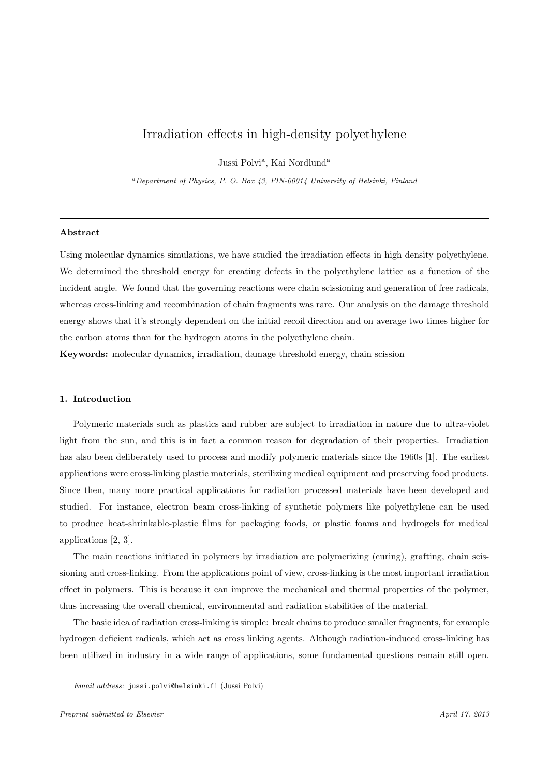# Irradiation effects in high-density polyethylene

Jussi Polvi<sup>a</sup>, Kai Nordlund<sup>a</sup>

<sup>a</sup>Department of Physics, P. O. Box 43, FIN-00014 University of Helsinki, Finland

#### Abstract

Using molecular dynamics simulations, we have studied the irradiation effects in high density polyethylene. We determined the threshold energy for creating defects in the polyethylene lattice as a function of the incident angle. We found that the governing reactions were chain scissioning and generation of free radicals, whereas cross-linking and recombination of chain fragments was rare. Our analysis on the damage threshold energy shows that it's strongly dependent on the initial recoil direction and on average two times higher for the carbon atoms than for the hydrogen atoms in the polyethylene chain.

Keywords: molecular dynamics, irradiation, damage threshold energy, chain scission

## 1. Introduction

Polymeric materials such as plastics and rubber are subject to irradiation in nature due to ultra-violet light from the sun, and this is in fact a common reason for degradation of their properties. Irradiation has also been deliberately used to process and modify polymeric materials since the 1960s [1]. The earliest applications were cross-linking plastic materials, sterilizing medical equipment and preserving food products. Since then, many more practical applications for radiation processed materials have been developed and studied. For instance, electron beam cross-linking of synthetic polymers like polyethylene can be used to produce heat-shrinkable-plastic films for packaging foods, or plastic foams and hydrogels for medical applications [2, 3].

The main reactions initiated in polymers by irradiation are polymerizing (curing), grafting, chain scissioning and cross-linking. From the applications point of view, cross-linking is the most important irradiation effect in polymers. This is because it can improve the mechanical and thermal properties of the polymer, thus increasing the overall chemical, environmental and radiation stabilities of the material.

The basic idea of radiation cross-linking is simple: break chains to produce smaller fragments, for example hydrogen deficient radicals, which act as cross linking agents. Although radiation-induced cross-linking has been utilized in industry in a wide range of applications, some fundamental questions remain still open.

Email address: jussi.polvi@helsinki.fi (Jussi Polvi)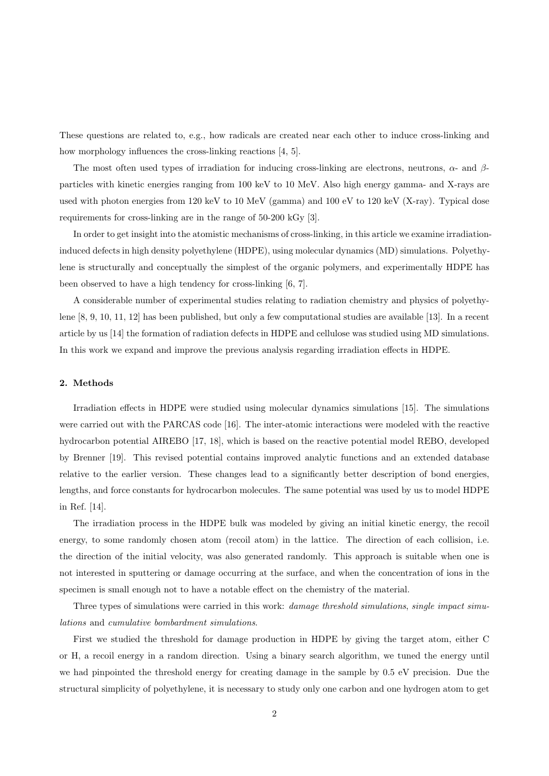These questions are related to, e.g., how radicals are created near each other to induce cross-linking and how morphology influences the cross-linking reactions [4, 5].

The most often used types of irradiation for inducing cross-linking are electrons, neutrons,  $\alpha$ - and  $\beta$ particles with kinetic energies ranging from 100 keV to 10 MeV. Also high energy gamma- and X-rays are used with photon energies from 120 keV to 10 MeV (gamma) and 100 eV to 120 keV (X-ray). Typical dose requirements for cross-linking are in the range of 50-200 kGy [3].

In order to get insight into the atomistic mechanisms of cross-linking, in this article we examine irradiationinduced defects in high density polyethylene (HDPE), using molecular dynamics (MD) simulations. Polyethylene is structurally and conceptually the simplest of the organic polymers, and experimentally HDPE has been observed to have a high tendency for cross-linking [6, 7].

A considerable number of experimental studies relating to radiation chemistry and physics of polyethylene [8, 9, 10, 11, 12] has been published, but only a few computational studies are available [13]. In a recent article by us [14] the formation of radiation defects in HDPE and cellulose was studied using MD simulations. In this work we expand and improve the previous analysis regarding irradiation effects in HDPE.

## 2. Methods

Irradiation effects in HDPE were studied using molecular dynamics simulations [15]. The simulations were carried out with the PARCAS code [16]. The inter-atomic interactions were modeled with the reactive hydrocarbon potential AIREBO [17, 18], which is based on the reactive potential model REBO, developed by Brenner [19]. This revised potential contains improved analytic functions and an extended database relative to the earlier version. These changes lead to a significantly better description of bond energies, lengths, and force constants for hydrocarbon molecules. The same potential was used by us to model HDPE in Ref. [14].

The irradiation process in the HDPE bulk was modeled by giving an initial kinetic energy, the recoil energy, to some randomly chosen atom (recoil atom) in the lattice. The direction of each collision, i.e. the direction of the initial velocity, was also generated randomly. This approach is suitable when one is not interested in sputtering or damage occurring at the surface, and when the concentration of ions in the specimen is small enough not to have a notable effect on the chemistry of the material.

Three types of simulations were carried in this work: *damage threshold simulations, single impact simu*lations and cumulative bombardment simulations.

First we studied the threshold for damage production in HDPE by giving the target atom, either C or H, a recoil energy in a random direction. Using a binary search algorithm, we tuned the energy until we had pinpointed the threshold energy for creating damage in the sample by 0.5 eV precision. Due the structural simplicity of polyethylene, it is necessary to study only one carbon and one hydrogen atom to get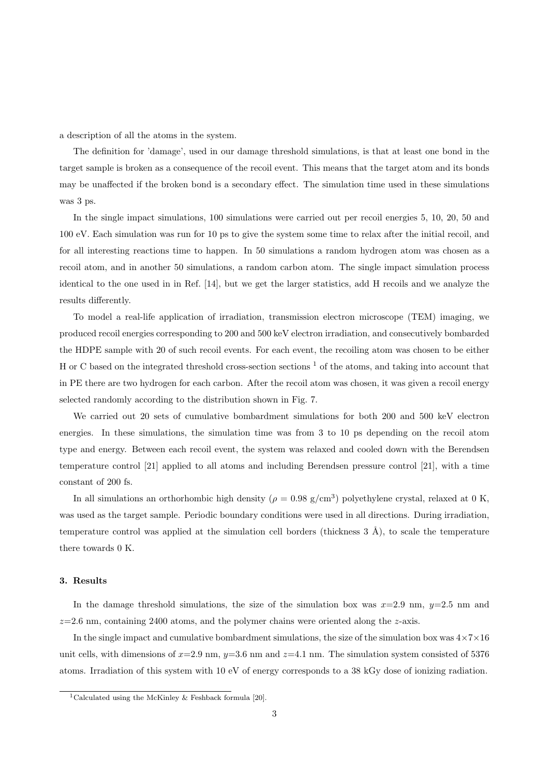a description of all the atoms in the system.

The definition for 'damage', used in our damage threshold simulations, is that at least one bond in the target sample is broken as a consequence of the recoil event. This means that the target atom and its bonds may be unaffected if the broken bond is a secondary effect. The simulation time used in these simulations was 3 ps.

In the single impact simulations, 100 simulations were carried out per recoil energies 5, 10, 20, 50 and 100 eV. Each simulation was run for 10 ps to give the system some time to relax after the initial recoil, and for all interesting reactions time to happen. In 50 simulations a random hydrogen atom was chosen as a recoil atom, and in another 50 simulations, a random carbon atom. The single impact simulation process identical to the one used in in Ref. [14], but we get the larger statistics, add H recoils and we analyze the results differently.

To model a real-life application of irradiation, transmission electron microscope (TEM) imaging, we produced recoil energies corresponding to 200 and 500 keV electron irradiation, and consecutively bombarded the HDPE sample with 20 of such recoil events. For each event, the recoiling atom was chosen to be either H or C based on the integrated threshold cross-section sections  $<sup>1</sup>$  of the atoms, and taking into account that</sup> in PE there are two hydrogen for each carbon. After the recoil atom was chosen, it was given a recoil energy selected randomly according to the distribution shown in Fig. 7.

We carried out 20 sets of cumulative bombardment simulations for both 200 and 500 keV electron energies. In these simulations, the simulation time was from 3 to 10 ps depending on the recoil atom type and energy. Between each recoil event, the system was relaxed and cooled down with the Berendsen temperature control [21] applied to all atoms and including Berendsen pressure control [21], with a time constant of 200 fs.

In all simulations an orthorhombic high density ( $\rho = 0.98$  g/cm<sup>3</sup>) polyethylene crystal, relaxed at 0 K, was used as the target sample. Periodic boundary conditions were used in all directions. During irradiation, temperature control was applied at the simulation cell borders (thickness  $3 \text{ Å}$ ), to scale the temperature there towards 0 K.

# 3. Results

In the damage threshold simulations, the size of the simulation box was  $x=2.9$  nm,  $y=2.5$  nm and  $z=2.6$  nm, containing 2400 atoms, and the polymer chains were oriented along the  $z$ -axis.

In the single impact and cumulative bombardment simulations, the size of the simulation box was  $4 \times 7 \times 16$ unit cells, with dimensions of  $x=2.9$  nm,  $y=3.6$  nm and  $z=4.1$  nm. The simulation system consisted of 5376 atoms. Irradiation of this system with 10 eV of energy corresponds to a 38 kGy dose of ionizing radiation.

<sup>&</sup>lt;sup>1</sup>Calculated using the McKinley & Feshback formula [20].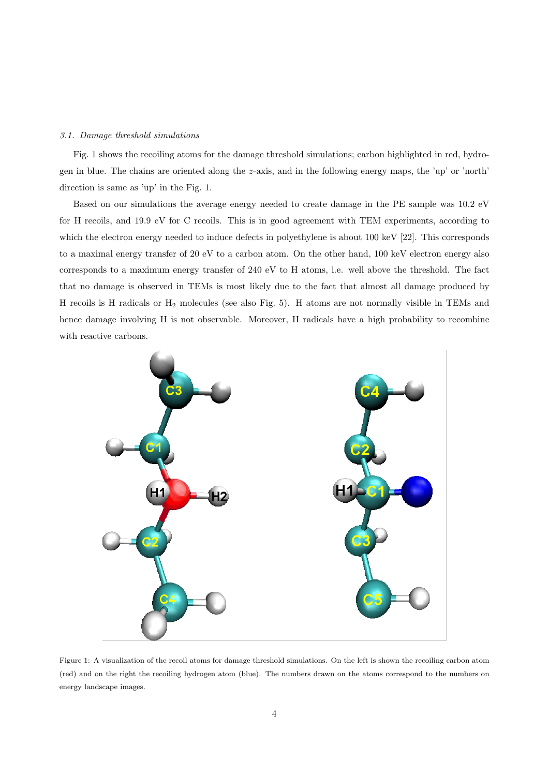## 3.1. Damage threshold simulations

Fig. 1 shows the recoiling atoms for the damage threshold simulations; carbon highlighted in red, hydrogen in blue. The chains are oriented along the z-axis, and in the following energy maps, the 'up' or 'north' direction is same as 'up' in the Fig. 1.

Based on our simulations the average energy needed to create damage in the PE sample was 10.2 eV for H recoils, and 19.9 eV for C recoils. This is in good agreement with TEM experiments, according to which the electron energy needed to induce defects in polyethylene is about 100 keV [22]. This corresponds to a maximal energy transfer of 20 eV to a carbon atom. On the other hand, 100 keV electron energy also corresponds to a maximum energy transfer of 240 eV to H atoms, i.e. well above the threshold. The fact that no damage is observed in TEMs is most likely due to the fact that almost all damage produced by H recoils is H radicals or H<sup>2</sup> molecules (see also Fig. 5). H atoms are not normally visible in TEMs and hence damage involving H is not observable. Moreover, H radicals have a high probability to recombine with reactive carbons.



Figure 1: A visualization of the recoil atoms for damage threshold simulations. On the left is shown the recoiling carbon atom (red) and on the right the recoiling hydrogen atom (blue). The numbers drawn on the atoms correspond to the numbers on energy landscape images.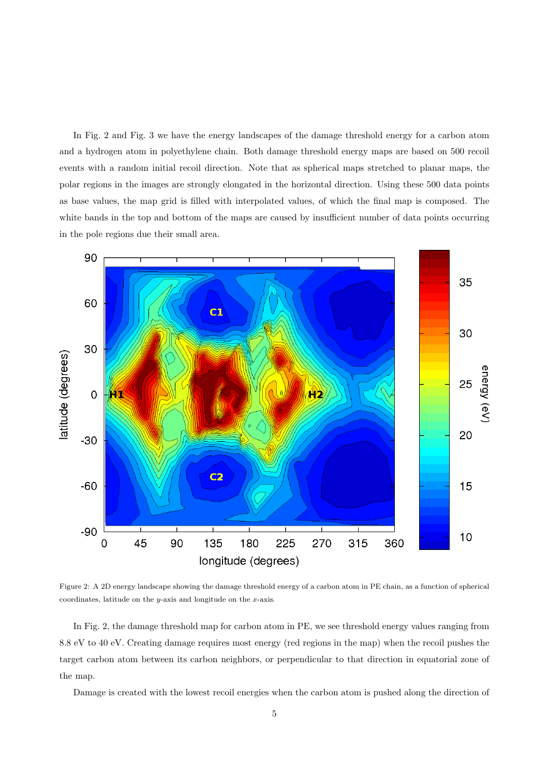In Fig. 2 and Fig. 3 we have the energy landscapes of the damage threshold energy for a carbon atom and a hydrogen atom in polyethylene chain. Both damage threshold energy maps are based on 500 recoil events with a random initial recoil direction. Note that as spherical maps stretched to planar maps, the polar regions in the images are strongly elongated in the horizontal direction. Using these 500 data points as base values, the map grid is filled with interpolated values, of which the final map is composed. The white bands in the top and bottom of the maps are caused by insufficient number of data points occurring in the pole regions due their small area.



Figure 2: A 2D energy landscape showing the damage threshold energy of a carbon atom in PE chain, as a function of spherical coordinates, latitude on the y-axis and longitude on the x-axis.

In Fig. 2, the damage threshold map for carbon atom in PE, we see threshold energy values ranging from 8.8 eV to 40 eV. Creating damage requires most energy (red regions in the map) when the recoil pushes the target carbon atom between its carbon neighbors, or perpendicular to that direction in equatorial zone of the map.

Damage is created with the lowest recoil energies when the carbon atom is pushed along the direction of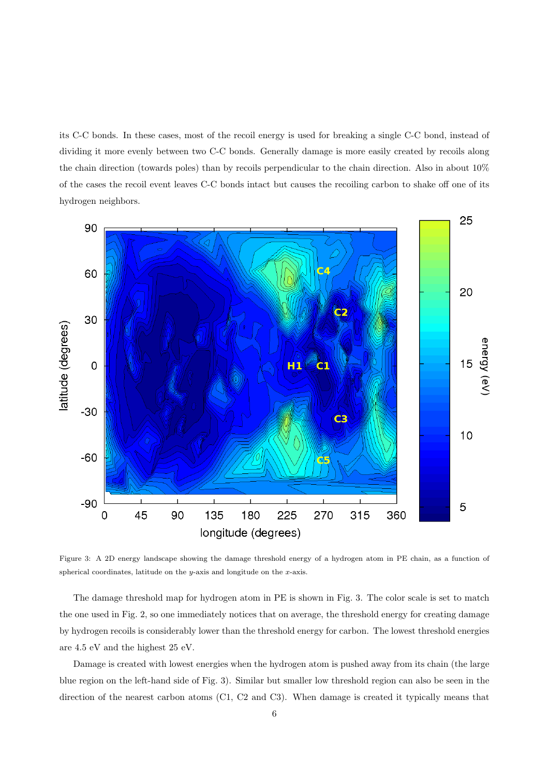its C-C bonds. In these cases, most of the recoil energy is used for breaking a single C-C bond, instead of dividing it more evenly between two C-C bonds. Generally damage is more easily created by recoils along the chain direction (towards poles) than by recoils perpendicular to the chain direction. Also in about 10% of the cases the recoil event leaves C-C bonds intact but causes the recoiling carbon to shake off one of its hydrogen neighbors.



Figure 3: A 2D energy landscape showing the damage threshold energy of a hydrogen atom in PE chain, as a function of spherical coordinates, latitude on the  $y$ -axis and longitude on the x-axis.

The damage threshold map for hydrogen atom in PE is shown in Fig. 3. The color scale is set to match the one used in Fig. 2, so one immediately notices that on average, the threshold energy for creating damage by hydrogen recoils is considerably lower than the threshold energy for carbon. The lowest threshold energies are 4.5 eV and the highest 25 eV.

Damage is created with lowest energies when the hydrogen atom is pushed away from its chain (the large blue region on the left-hand side of Fig. 3). Similar but smaller low threshold region can also be seen in the direction of the nearest carbon atoms (C1, C2 and C3). When damage is created it typically means that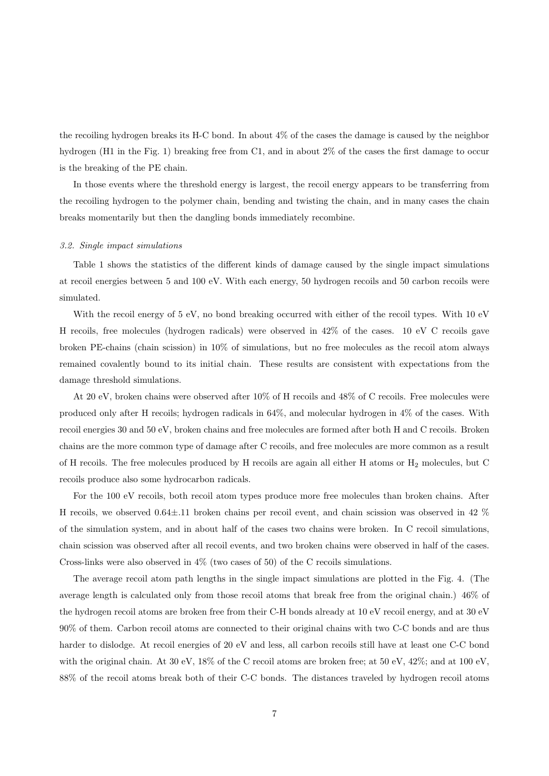the recoiling hydrogen breaks its H-C bond. In about 4% of the cases the damage is caused by the neighbor hydrogen (H1 in the Fig. 1) breaking free from C1, and in about 2% of the cases the first damage to occur is the breaking of the PE chain.

In those events where the threshold energy is largest, the recoil energy appears to be transferring from the recoiling hydrogen to the polymer chain, bending and twisting the chain, and in many cases the chain breaks momentarily but then the dangling bonds immediately recombine.

#### 3.2. Single impact simulations

Table 1 shows the statistics of the different kinds of damage caused by the single impact simulations at recoil energies between 5 and 100 eV. With each energy, 50 hydrogen recoils and 50 carbon recoils were simulated.

With the recoil energy of 5 eV, no bond breaking occurred with either of the recoil types. With 10 eV H recoils, free molecules (hydrogen radicals) were observed in 42% of the cases. 10 eV C recoils gave broken PE-chains (chain scission) in 10% of simulations, but no free molecules as the recoil atom always remained covalently bound to its initial chain. These results are consistent with expectations from the damage threshold simulations.

At 20 eV, broken chains were observed after 10% of H recoils and 48% of C recoils. Free molecules were produced only after H recoils; hydrogen radicals in 64%, and molecular hydrogen in 4% of the cases. With recoil energies 30 and 50 eV, broken chains and free molecules are formed after both H and C recoils. Broken chains are the more common type of damage after C recoils, and free molecules are more common as a result of H recoils. The free molecules produced by H recoils are again all either H atoms or  $H_2$  molecules, but C recoils produce also some hydrocarbon radicals.

For the 100 eV recoils, both recoil atom types produce more free molecules than broken chains. After H recoils, we observed 0.64±.11 broken chains per recoil event, and chain scission was observed in 42 % of the simulation system, and in about half of the cases two chains were broken. In C recoil simulations, chain scission was observed after all recoil events, and two broken chains were observed in half of the cases. Cross-links were also observed in 4% (two cases of 50) of the C recoils simulations.

The average recoil atom path lengths in the single impact simulations are plotted in the Fig. 4. (The average length is calculated only from those recoil atoms that break free from the original chain.) 46% of the hydrogen recoil atoms are broken free from their C-H bonds already at 10 eV recoil energy, and at 30 eV 90% of them. Carbon recoil atoms are connected to their original chains with two C-C bonds and are thus harder to dislodge. At recoil energies of 20 eV and less, all carbon recoils still have at least one C-C bond with the original chain. At 30 eV, 18% of the C recoil atoms are broken free; at 50 eV, 42%; and at 100 eV, 88% of the recoil atoms break both of their C-C bonds. The distances traveled by hydrogen recoil atoms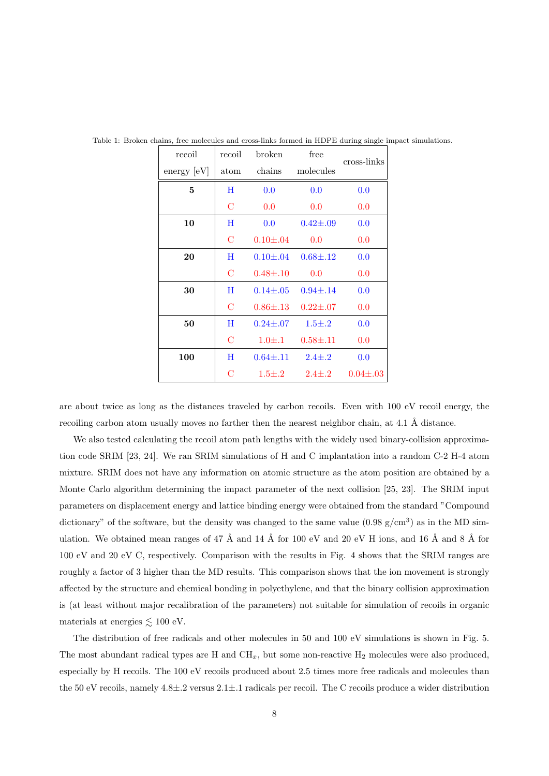| recoil               | recoil         | broken          | free                          | cross-links    |  |
|----------------------|----------------|-----------------|-------------------------------|----------------|--|
| $\text{energy}$ [eV] | atom           | chains          | molecules                     |                |  |
| 5                    | Η              | 0.0             | 0.0                           | 0.0            |  |
|                      | С              | 0.0             | 0.0                           | 0.0            |  |
| 10                   | Η              | 0.0             | $0.42\pm.09$                  | 0.0            |  |
|                      | $\mathbf C$    | $0.10{\pm}.04$  | $0.0\,$                       | 0.0            |  |
| 20                   | Η              | $0.10{\pm}.04$  | $0.68{\pm}.12$                | 0.0            |  |
|                      | $\mathbf C$    | $0.48 + 0.10$   | 0.0                           | 0.0            |  |
| 30                   | Η              | $0.14{\pm}.05$  | $0.94 \pm .14$                | 0.0            |  |
|                      | C              |                 | $0.86 \pm .13$ $0.22 \pm .07$ | 0.0            |  |
| 50                   | Η              | $0.24 \pm 0.07$ | $1.5 \pm .2$                  | 0.0            |  |
|                      | $\mathcal{C}$  | $1.0 \pm .1$    | $0.58 \pm .11$                | 0.0            |  |
| 100                  | Η              | $0.64 \pm .11$  | $2.4 \pm .2$                  | 0.0            |  |
|                      | $\overline{C}$ |                 | $1.5 \pm .2$ $2.4 \pm .2$     | $0.04 \pm .03$ |  |

Table 1: Broken chains, free molecules and cross-links formed in HDPE during single impact simulations.

are about twice as long as the distances traveled by carbon recoils. Even with 100 eV recoil energy, the recoiling carbon atom usually moves no farther then the nearest neighbor chain, at  $4.1 \text{ Å}$  distance.

We also tested calculating the recoil atom path lengths with the widely used binary-collision approximation code SRIM [23, 24]. We ran SRIM simulations of H and C implantation into a random C-2 H-4 atom mixture. SRIM does not have any information on atomic structure as the atom position are obtained by a Monte Carlo algorithm determining the impact parameter of the next collision [25, 23]. The SRIM input parameters on displacement energy and lattice binding energy were obtained from the standard "Compound dictionary" of the software, but the density was changed to the same value  $(0.98 \text{ g/cm}^3)$  as in the MD simulation. We obtained mean ranges of 47 Å and 14 Å for 100 eV and 20 eV H ions, and 16 Å and 8 Å for 100 eV and 20 eV C, respectively. Comparison with the results in Fig. 4 shows that the SRIM ranges are roughly a factor of 3 higher than the MD results. This comparison shows that the ion movement is strongly affected by the structure and chemical bonding in polyethylene, and that the binary collision approximation is (at least without major recalibration of the parameters) not suitable for simulation of recoils in organic materials at energies  $\lesssim 100$  eV.

The distribution of free radicals and other molecules in 50 and 100 eV simulations is shown in Fig. 5. The most abundant radical types are H and  $CH<sub>x</sub>$ , but some non-reactive  $H<sub>2</sub>$  molecules were also produced, especially by H recoils. The 100 eV recoils produced about 2.5 times more free radicals and molecules than the 50 eV recoils, namely 4.8±.2 versus 2.1±.1 radicals per recoil. The C recoils produce a wider distribution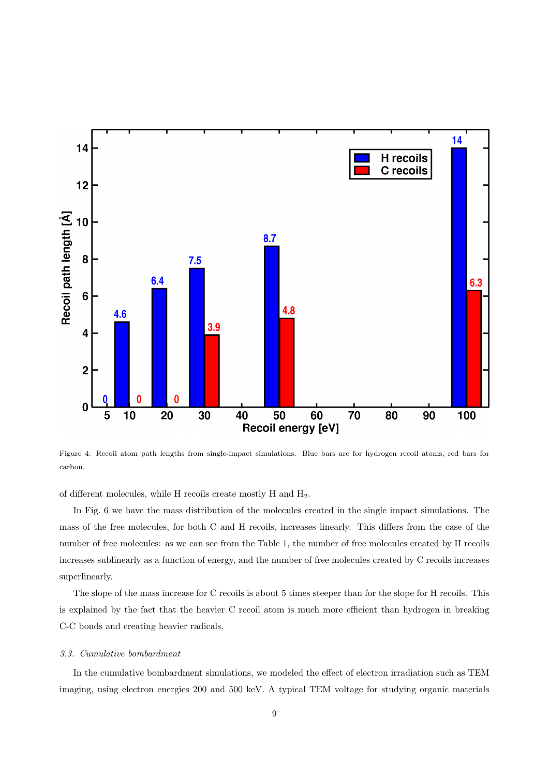

Figure 4: Recoil atom path lengths from single-impact simulations. Blue bars are for hydrogen recoil atoms, red bars for carbon.

of different molecules, while H recoils create mostly H and H2.

In Fig. 6 we have the mass distribution of the molecules created in the single impact simulations. The mass of the free molecules, for both C and H recoils, increases linearly. This differs from the case of the number of free molecules: as we can see from the Table 1, the number of free molecules created by H recoils increases sublinearly as a function of energy, and the number of free molecules created by C recoils increases superlinearly.

The slope of the mass increase for C recoils is about 5 times steeper than for the slope for H recoils. This is explained by the fact that the heavier C recoil atom is much more efficient than hydrogen in breaking C-C bonds and creating heavier radicals.

#### 3.3. Cumulative bombardment

In the cumulative bombardment simulations, we modeled the effect of electron irradiation such as TEM imaging, using electron energies 200 and 500 keV. A typical TEM voltage for studying organic materials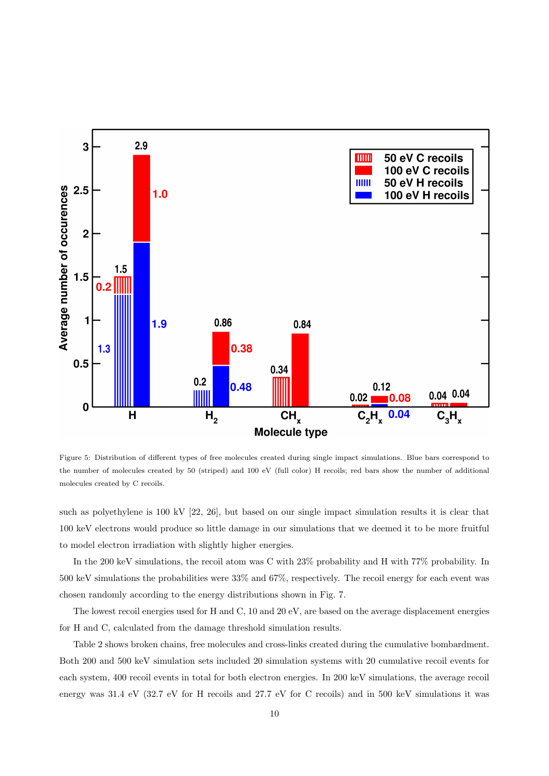

Figure 5: Distribution of different types of free molecules created during single impact simulations. Blue bars correspond to the number of molecules created by 50 (striped) and 100 eV (full color) H recoils; red bars show the number of additional molecules created by C recoils.

such as polyethylene is 100 kV [22, 26], but based on our single impact simulation results it is clear that 100 keV electrons would produce so little damage in our simulations that we deemed it to be more fruitful to model electron irradiation with slightly higher energies.

In the 200 keV simulations, the recoil atom was C with 23% probability and H with 77% probability. In 500 keV simulations the probabilities were 33% and 67%, respectively. The recoil energy for each event was chosen randomly according to the energy distributions shown in Fig. 7.

The lowest recoil energies used for H and C, 10 and 20 eV, are based on the average displacement energies for H and C, calculated from the damage threshold simulation results.

Table 2 shows broken chains, free molecules and cross-links created during the cumulative bombardment. Both 200 and 500 keV simulation sets included 20 simulation systems with 20 cumulative recoil events for each system, 400 recoil events in total for both electron energies. In 200 keV simulations, the average recoil energy was 31.4 eV (32.7 eV for H recoils and 27.7 eV for C recoils) and in 500 keV simulations it was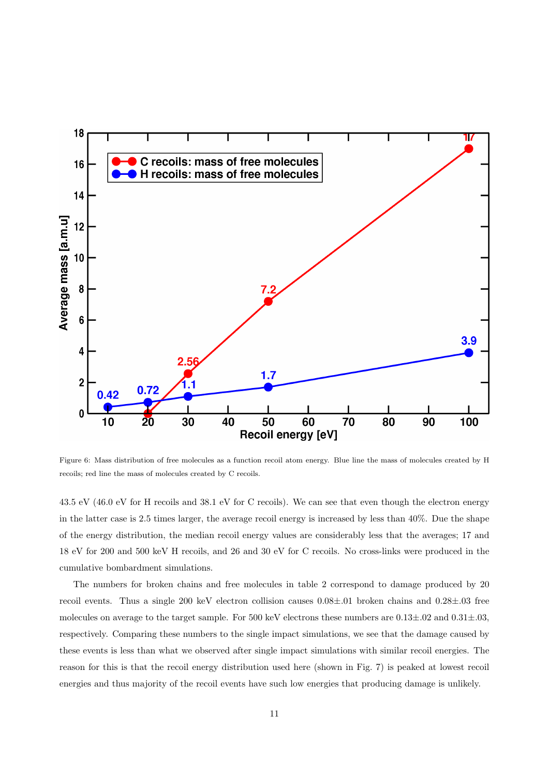

Figure 6: Mass distribution of free molecules as a function recoil atom energy. Blue line the mass of molecules created by H recoils; red line the mass of molecules created by C recoils.

43.5 eV (46.0 eV for H recoils and 38.1 eV for C recoils). We can see that even though the electron energy in the latter case is 2.5 times larger, the average recoil energy is increased by less than 40%. Due the shape of the energy distribution, the median recoil energy values are considerably less that the averages; 17 and 18 eV for 200 and 500 keV H recoils, and 26 and 30 eV for C recoils. No cross-links were produced in the cumulative bombardment simulations.

The numbers for broken chains and free molecules in table 2 correspond to damage produced by 20 recoil events. Thus a single 200 keV electron collision causes 0.08±.01 broken chains and 0.28±.03 free molecules on average to the target sample. For 500 keV electrons these numbers are  $0.13\pm.02$  and  $0.31\pm.03$ , respectively. Comparing these numbers to the single impact simulations, we see that the damage caused by these events is less than what we observed after single impact simulations with similar recoil energies. The reason for this is that the recoil energy distribution used here (shown in Fig. 7) is peaked at lowest recoil energies and thus majority of the recoil events have such low energies that producing damage is unlikely.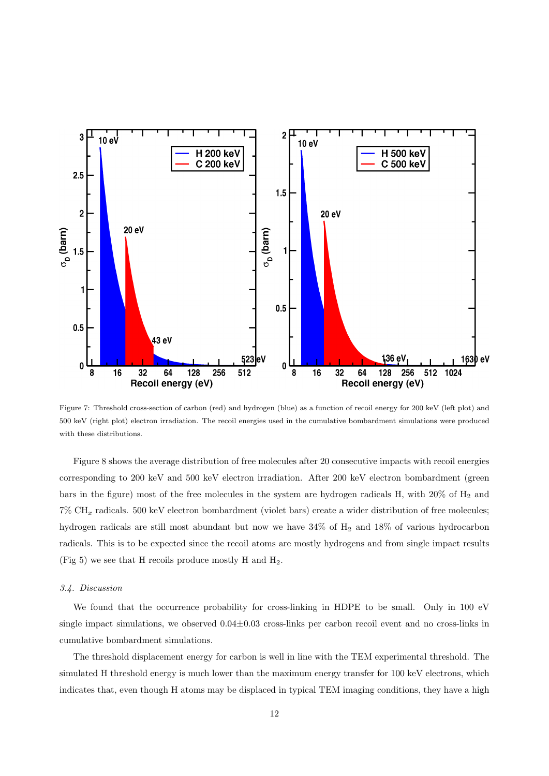

Figure 7: Threshold cross-section of carbon (red) and hydrogen (blue) as a function of recoil energy for 200 keV (left plot) and 500 keV (right plot) electron irradiation. The recoil energies used in the cumulative bombardment simulations were produced with these distributions.

Figure 8 shows the average distribution of free molecules after 20 consecutive impacts with recoil energies corresponding to 200 keV and 500 keV electron irradiation. After 200 keV electron bombardment (green bars in the figure) most of the free molecules in the system are hydrogen radicals H, with  $20\%$  of H<sub>2</sub> and  $7\% \text{ CH}_x$  radicals. 500 keV electron bombardment (violet bars) create a wider distribution of free molecules; hydrogen radicals are still most abundant but now we have  $34\%$  of H<sub>2</sub> and  $18\%$  of various hydrocarbon radicals. This is to be expected since the recoil atoms are mostly hydrogens and from single impact results (Fig 5) we see that H recoils produce mostly H and  $H_2$ .

## 3.4. Discussion

We found that the occurrence probability for cross-linking in HDPE to be small. Only in 100 eV single impact simulations, we observed  $0.04\pm0.03$  cross-links per carbon recoil event and no cross-links in cumulative bombardment simulations.

The threshold displacement energy for carbon is well in line with the TEM experimental threshold. The simulated H threshold energy is much lower than the maximum energy transfer for 100 keV electrons, which indicates that, even though H atoms may be displaced in typical TEM imaging conditions, they have a high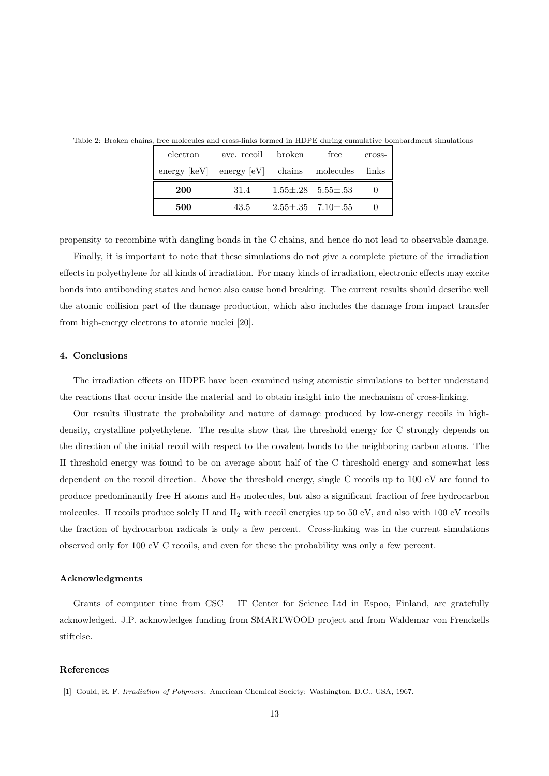| electron              | ave. recoil broken                    | free                          | cross- |
|-----------------------|---------------------------------------|-------------------------------|--------|
| $\text{energy}$ [keV] | $\text{energy}$ [eV] chains molecules |                               | links  |
| <b>200</b>            | 31.4                                  | $1.55 \pm .28$ $5.55 \pm .53$ |        |
| 500                   | 43.5                                  | $2.55\pm.35$ 7.10 $\pm.55$    |        |

Table 2: Broken chains, free molecules and cross-links formed in HDPE during cumulative bombardment simulations

propensity to recombine with dangling bonds in the C chains, and hence do not lead to observable damage.

Finally, it is important to note that these simulations do not give a complete picture of the irradiation effects in polyethylene for all kinds of irradiation. For many kinds of irradiation, electronic effects may excite bonds into antibonding states and hence also cause bond breaking. The current results should describe well the atomic collision part of the damage production, which also includes the damage from impact transfer from high-energy electrons to atomic nuclei [20].

## 4. Conclusions

The irradiation effects on HDPE have been examined using atomistic simulations to better understand the reactions that occur inside the material and to obtain insight into the mechanism of cross-linking.

Our results illustrate the probability and nature of damage produced by low-energy recoils in highdensity, crystalline polyethylene. The results show that the threshold energy for C strongly depends on the direction of the initial recoil with respect to the covalent bonds to the neighboring carbon atoms. The H threshold energy was found to be on average about half of the C threshold energy and somewhat less dependent on the recoil direction. Above the threshold energy, single C recoils up to 100 eV are found to produce predominantly free H atoms and H<sup>2</sup> molecules, but also a significant fraction of free hydrocarbon molecules. H recoils produce solely H and  $H_2$  with recoil energies up to 50 eV, and also with 100 eV recoils the fraction of hydrocarbon radicals is only a few percent. Cross-linking was in the current simulations observed only for 100 eV C recoils, and even for these the probability was only a few percent.

## Acknowledgments

Grants of computer time from CSC – IT Center for Science Ltd in Espoo, Finland, are gratefully acknowledged. J.P. acknowledges funding from SMARTWOOD project and from Waldemar von Frenckells stiftelse.

#### References

<sup>[1]</sup> Gould, R. F. Irradiation of Polymers; American Chemical Society: Washington, D.C., USA, 1967.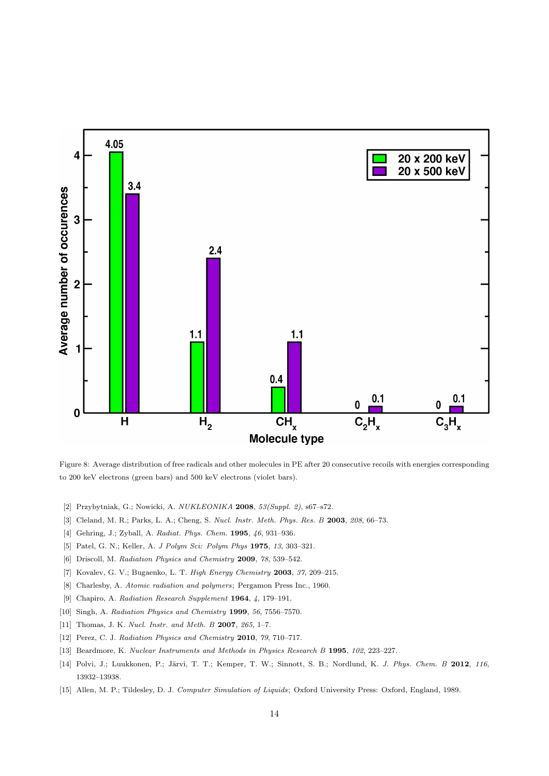

Figure 8: Average distribution of free radicals and other molecules in PE after 20 consecutive recoils with energies corresponding to 200 keV electrons (green bars) and 500 keV electrons (violet bars).

- [2] Przybytniak, G.; Nowicki, A. NUKLEONIKA 2008, 53(Suppl. 2), s67–s72.
- [3] Cleland, M. R.; Parks, L. A.; Cheng, S. Nucl. Instr. Meth. Phys. Res. B 2003, 208, 66–73.
- [4] Gehring, J.; Zyball, A. Radiat. Phys. Chem. 1995, 46, 931–936.
- [5] Patel, G. N.; Keller, A. J Polym Sci: Polym Phys 1975, 13, 303-321.
- [6] Driscoll, M. Radiation Physics and Chemistry 2009, 78, 539–542.
- [7] Kovalev, G. V.; Bugaenko, L. T. High Energy Chemistry 2003, 37, 209–215.
- [8] Charlesby, A. Atomic radiation and polymers; Pergamon Press Inc., 1960.
- [9] Chapiro, A. Radiation Research Supplement 1964, 4, 179–191.
- [10] Singh, A. Radiation Physics and Chemistry 1999, 56, 7556–7570.
- [11] Thomas, J. K. Nucl. Instr. and Meth. B 2007, 265, 1-7.
- [12] Perez, C. J. Radiation Physics and Chemistry 2010, 79, 710–717.
- [13] Beardmore, K. Nuclear Instruments and Methods in Physics Research B 1995, 102, 223–227.
- [14] Polvi, J.; Luukkonen, P.; Järvi, T. T.; Kemper, T. W.; Sinnott, S. B.; Nordlund, K. J. Phys. Chem. B 2012, 116, 13932–13938.
- [15] Allen, M. P.; Tildesley, D. J. Computer Simulation of Liquids; Oxford University Press: Oxford, England, 1989.